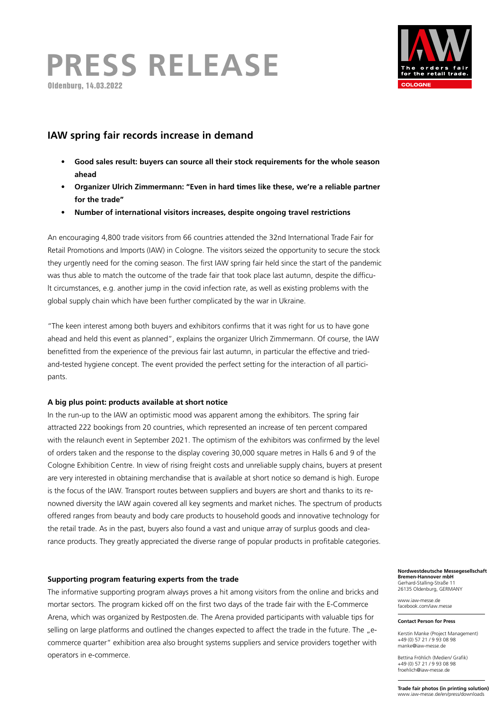# **PRESS RELEASE** Oldenburg, 14.03.2022



## **IAW spring fair records increase in demand**

- **• Good sales result: buyers can source all their stock requirements for the whole season ahead**
- **• Organizer Ulrich Zimmermann: "Even in hard times like these, we're a reliable partner for the trade"**
- **• Number of international visitors increases, despite ongoing travel restrictions**

An encouraging 4,800 trade visitors from 66 countries attended the 32nd International Trade Fair for Retail Promotions and Imports (IAW) in Cologne. The visitors seized the opportunity to secure the stock they urgently need for the coming season. The first IAW spring fair held since the start of the pandemic was thus able to match the outcome of the trade fair that took place last autumn, despite the difficult circumstances, e.g. another jump in the covid infection rate, as well as existing problems with the global supply chain which have been further complicated by the war in Ukraine.

"The keen interest among both buyers and exhibitors confirms that it was right for us to have gone ahead and held this event as planned", explains the organizer Ulrich Zimmermann. Of course, the IAW benefitted from the experience of the previous fair last autumn, in particular the effective and triedand-tested hygiene concept. The event provided the perfect setting for the interaction of all participants.

## **A big plus point: products available at short notice**

In the run-up to the IAW an optimistic mood was apparent among the exhibitors. The spring fair attracted 222 bookings from 20 countries, which represented an increase of ten percent compared with the relaunch event in September 2021. The optimism of the exhibitors was confirmed by the level of orders taken and the response to the display covering 30,000 square metres in Halls 6 and 9 of the Cologne Exhibition Centre. In view of rising freight costs and unreliable supply chains, buyers at present are very interested in obtaining merchandise that is available at short notice so demand is high. Europe is the focus of the IAW. Transport routes between suppliers and buyers are short and thanks to its renowned diversity the IAW again covered all key segments and market niches. The spectrum of products offered ranges from beauty and body care products to household goods and innovative technology for the retail trade. As in the past, buyers also found a vast and unique array of surplus goods and clearance products. They greatly appreciated the diverse range of popular products in profitable categories.

## **Supporting program featuring experts from the trade**

The informative supporting program always proves a hit among visitors from the online and bricks and mortar sectors. The program kicked off on the first two days of the trade fair with the E-Commerce Arena, which was organized by Restposten.de. The Arena provided participants with valuable tips for selling on large platforms and outlined the changes expected to affect the trade in the future. The "ecommerce quarter" exhibition area also brought systems suppliers and service providers together with operators in e-commerce.

#### **Nordwestdeutsche Messegesellschaft Bremen-Hannover mbH** Gerhard-Stalling-Straße 11

26135 Oldenburg, GERMANY www.iaw-messe.de

facebook.com/iaw.messe

#### **Contact Person for Press**

Kerstin Manke (Project Management) +49 (0) 57 21 / 9 93 08 98 manke@iaw-messe.de

Bettina Fröhlich (Medien/ Grafik) +49 (0) 57 21 / 9 93 08 98 froehlich@iaw-messe.de

**Trade fair photos (in printing solution)** www.iaw-messe.de/en/press/downloads